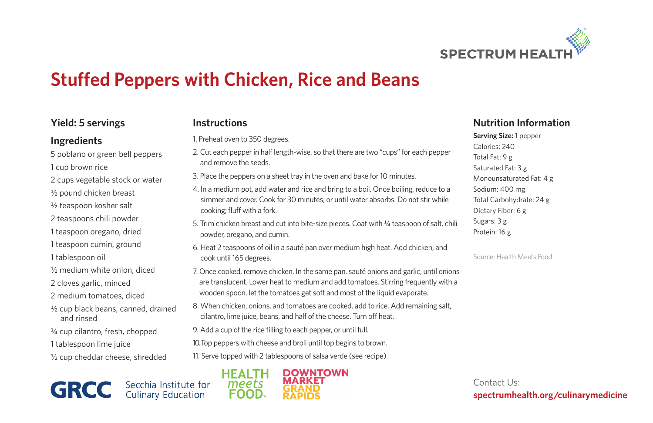

# **Stuffed Peppers with Chicken, Rice and Beans**

## **Yield: 5 servings**

#### **Ingredients**

5 poblano or green bell peppers 1 cup brown rice 2 cups vegetable stock or water 1/<sub>2</sub> pound chicken breast 1/<sub>2</sub> teaspoon kosher salt 2 teaspoons chili powder 1 teaspoon oregano, dried 1 teaspoon cumin, ground 1 tablespoon oil 1/<sub>2</sub> medium white onion, diced 2 cloves garlic, minced 2 medium tomatoes, diced ½ cup black beans, canned, drained and rinsed

- ¼ cup cilantro, fresh, chopped
- 1 tablespoon lime juice
- 1/2 cup cheddar cheese, shredded

Secchia Institute for<br>Culinary Education **GRCC** 

## **Instructions**

1. Preheat oven to 350 degrees.

- 2. Cut each pepper in half length-wise, so that there are two "cups" for each pepper and remove the seeds.
- 3. Place the peppers on a sheet tray in the oven and bake for 10 minutes.
- 4. In a medium pot, add water and rice and bring to a boil. Once boiling, reduce to a simmer and cover. Cook for 30 minutes, or until water absorbs. Do not stir while cooking; fluff with a fork.
- 5. Trim chicken breast and cut into bite-size pieces. Coat with 1/4 teaspoon of salt, chili powder, oregano, and cumin.
- 6. Heat 2 teaspoons of oil in a sauté pan over medium high heat. Add chicken, and cook until 165 degrees.
- 7. Once cooked, remove chicken. In the same pan, sauté onions and garlic, until onions are translucent. Lower heat to medium and add tomatoes. Stirring frequently with a wooden spoon, let the tomatoes get soft and most of the liquid evaporate.
- 8. When chicken, onions, and tomatoes are cooked, add to rice. Add remaining salt, cilantro, lime juice, beans, and half of the cheese. Turn off heat.
- 9. Add a cup of the rice filling to each pepper, or until full.
- 10. Top peppers with cheese and broil until top begins to brown.
- 11. Serve topped with 2 tablespoons of salsa verde (see recipe).



## **Nutrition Information**

**Serving Size:** 1 pepper Calories: 240 Total Fat: 9 g Saturated Fat: 3 g Monounsaturated Fat: 4 g Sodium: 400 mg Total Carbohydrate: 24 g Dietary Fiber: 6 g Sugars: 3 g Protein: 16 g

Source: Health Meets Food

Contact Us: **spectrumhealth.org/culinarymedicine**